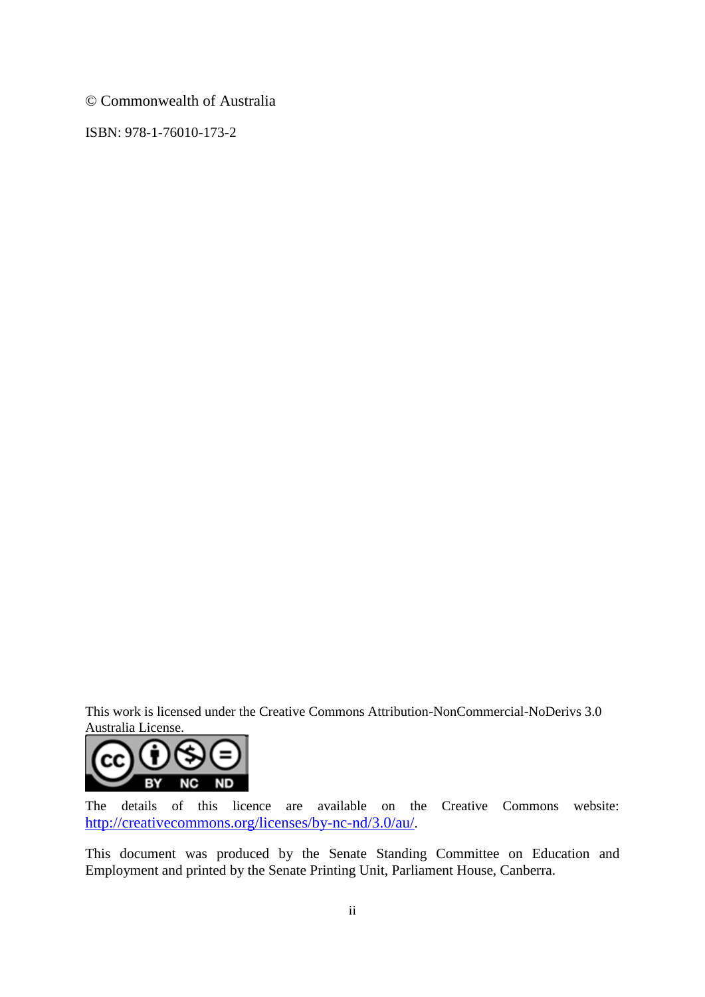© Commonwealth of Australia

ISBN: 978-1-76010-173-2

This work is licensed under the Creative Commons Attribution-NonCommercial-NoDerivs 3.0 Australia License.



The details of this licence are available on the Creative Commons website: <http://creativecommons.org/licenses/by-nc-nd/3.0/au/>.

This document was produced by the Senate Standing Committee on Education and Employment and printed by the Senate Printing Unit, Parliament House, Canberra.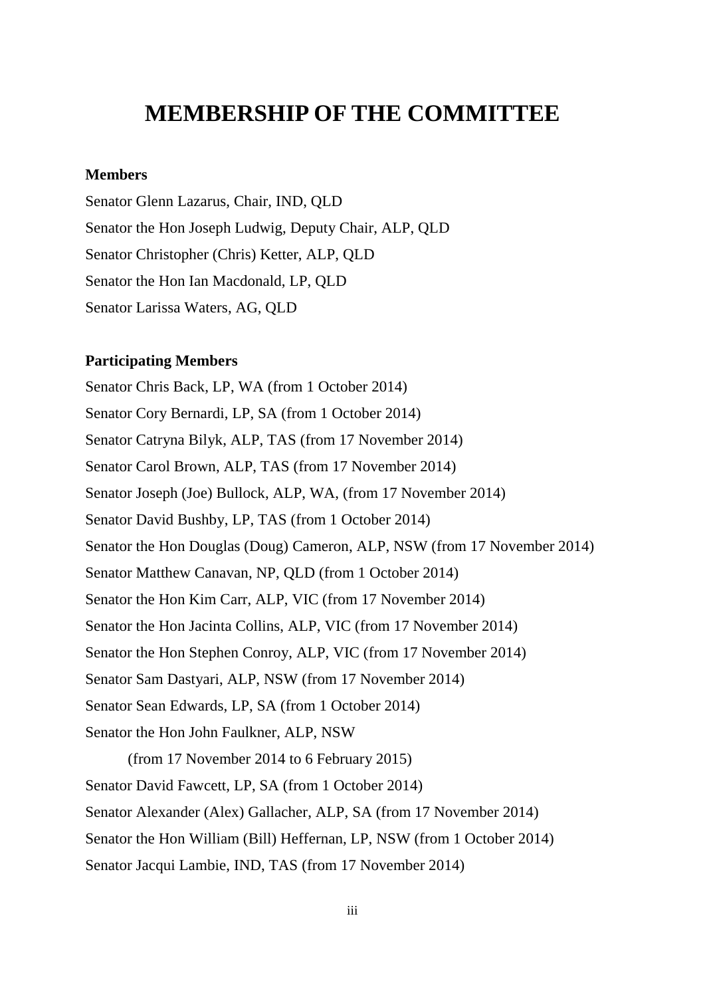## **MEMBERSHIP OF THE COMMITTEE**

## **Members**

Senator Glenn Lazarus, Chair, IND, QLD Senator the Hon Joseph Ludwig, Deputy Chair, ALP, QLD Senator Christopher (Chris) Ketter, ALP, QLD Senator the Hon Ian Macdonald, LP, QLD Senator Larissa Waters, AG, QLD

## **Participating Members**

Senator Chris Back, LP, WA (from 1 October 2014) Senator Cory Bernardi, LP, SA (from 1 October 2014) Senator Catryna Bilyk, ALP, TAS (from 17 November 2014) Senator Carol Brown, ALP, TAS (from 17 November 2014) Senator Joseph (Joe) Bullock, ALP, WA, (from 17 November 2014) Senator David Bushby, LP, TAS (from 1 October 2014) Senator the Hon Douglas (Doug) Cameron, ALP, NSW (from 17 November 2014) Senator Matthew Canavan, NP, QLD (from 1 October 2014) Senator the Hon Kim Carr, ALP, VIC (from 17 November 2014) Senator the Hon Jacinta Collins, ALP, VIC (from 17 November 2014) Senator the Hon Stephen Conroy, ALP, VIC (from 17 November 2014) Senator Sam Dastyari, ALP, NSW (from 17 November 2014) Senator Sean Edwards, LP, SA (from 1 October 2014) Senator the Hon John Faulkner, ALP, NSW (from 17 November 2014 to 6 February 2015) Senator David Fawcett, LP, SA (from 1 October 2014)

Senator Alexander (Alex) Gallacher, ALP, SA (from 17 November 2014)

Senator the Hon William (Bill) Heffernan, LP, NSW (from 1 October 2014)

Senator Jacqui Lambie, IND, TAS (from 17 November 2014)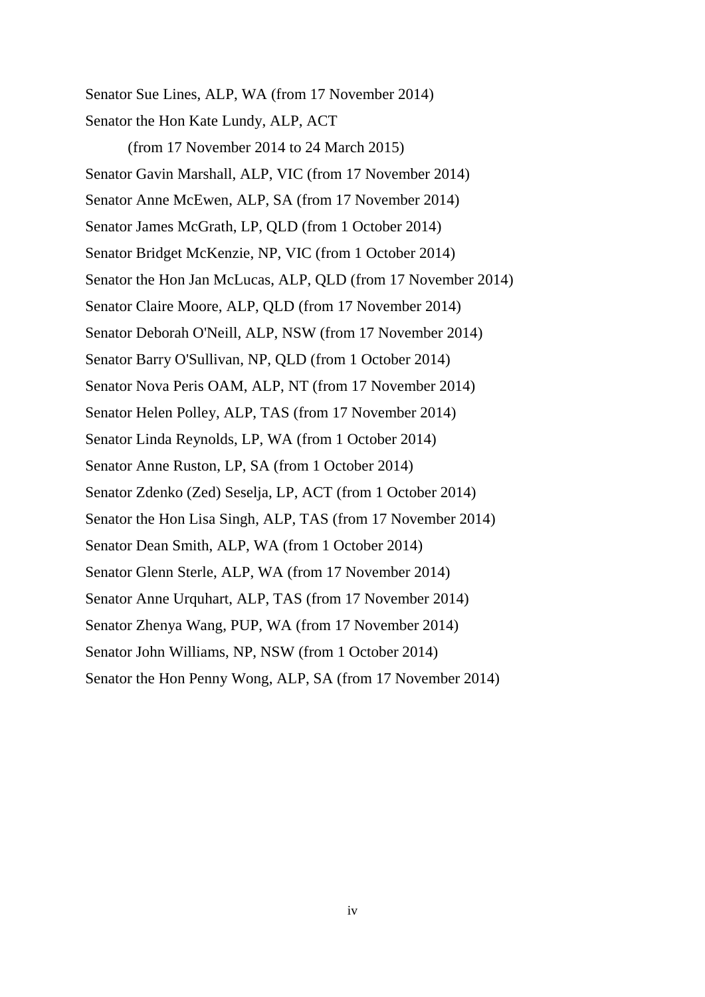Senator Sue Lines, ALP, WA (from 17 November 2014) Senator the Hon Kate Lundy, ALP, ACT

(from 17 November 2014 to 24 March 2015) Senator Gavin Marshall, ALP, VIC (from 17 November 2014) Senator Anne McEwen, ALP, SA (from 17 November 2014) Senator James McGrath, LP, QLD (from 1 October 2014) Senator Bridget McKenzie, NP, VIC (from 1 October 2014) Senator the Hon Jan McLucas, ALP, QLD (from 17 November 2014) Senator Claire Moore, ALP, QLD (from 17 November 2014) Senator Deborah O'Neill, ALP, NSW (from 17 November 2014) Senator Barry O'Sullivan, NP, QLD (from 1 October 2014) Senator Nova Peris OAM, ALP, NT (from 17 November 2014) Senator Helen Polley, ALP, TAS (from 17 November 2014) Senator Linda Reynolds, LP, WA (from 1 October 2014) Senator Anne Ruston, LP, SA (from 1 October 2014) Senator Zdenko (Zed) Seselja, LP, ACT (from 1 October 2014) Senator the Hon Lisa Singh, ALP, TAS (from 17 November 2014) Senator Dean Smith, ALP, WA (from 1 October 2014) Senator Glenn Sterle, ALP, WA (from 17 November 2014) Senator Anne Urquhart, ALP, TAS (from 17 November 2014) Senator Zhenya Wang, PUP, WA (from 17 November 2014) Senator John Williams, NP, NSW (from 1 October 2014) Senator the Hon Penny Wong, ALP, SA (from 17 November 2014)